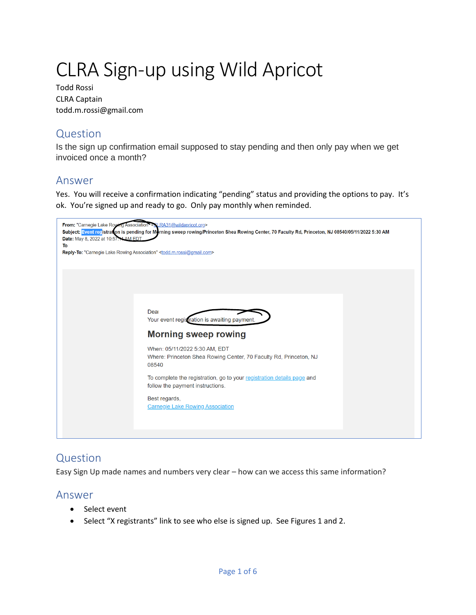# CLRA Sign-up using Wild Apricot

Todd Rossi CLRA Captain todd.m.rossi@gmail.com

# Question

Is the sign up confirmation email supposed to stay pending and then only pay when we get invoiced once a month?

# Answer

Yes. You will receive a confirmation indicating "pending" status and providing the options to pay. It's ok. You're signed up and ready to go. Only pay monthly when reminded.

| From: "Carnegie Lake Rowing Association" < CLRA31@wildapricot.org><br>Date: May 8, 2022 at 10:57:11 AM EDT<br>To:<br>Reply-To: "Carnegie Lake Rowing Association" <todd.m.rossi@gmail.com></todd.m.rossi@gmail.com> | Subject: Event registration is pending for Morning sweep rowing/Princeton Shea Rowing Center, 70 Faculty Rd, Princeton, NJ 08540/05/11/2022 5:30 AM |  |
|---------------------------------------------------------------------------------------------------------------------------------------------------------------------------------------------------------------------|-----------------------------------------------------------------------------------------------------------------------------------------------------|--|
|                                                                                                                                                                                                                     |                                                                                                                                                     |  |
|                                                                                                                                                                                                                     | Deal                                                                                                                                                |  |
|                                                                                                                                                                                                                     | Your event registration is awaiting payment.                                                                                                        |  |
|                                                                                                                                                                                                                     | <b>Morning sweep rowing</b>                                                                                                                         |  |
|                                                                                                                                                                                                                     | When: 05/11/2022 5:30 AM, EDT<br>Where: Princeton Shea Rowing Center, 70 Faculty Rd, Princeton, NJ<br>08540                                         |  |
|                                                                                                                                                                                                                     | To complete the registration, go to your registration details page and<br>follow the payment instructions.                                          |  |
|                                                                                                                                                                                                                     | Best regards,<br><b>Carnegie Lake Rowing Association</b>                                                                                            |  |
|                                                                                                                                                                                                                     |                                                                                                                                                     |  |

# Question

Easy Sign Up made names and numbers very clear – how can we access this same information?

# Answer

- Select event
- Select "X registrants" link to see who else is signed up. See Figures 1 and 2.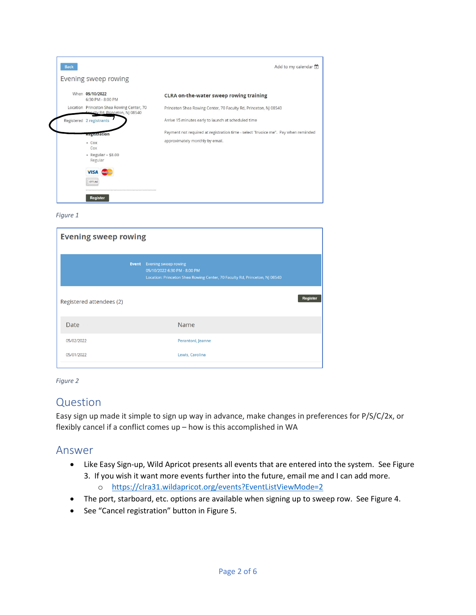

| <b>Evening sweep rowing</b> |              |                                                                                                                                    |                 |
|-----------------------------|--------------|------------------------------------------------------------------------------------------------------------------------------------|-----------------|
|                             | <b>Event</b> | Evening sweep rowing<br>05/10/2022 6:30 PM - 8:00 PM<br>Location: Princeton Shea Rowing Center, 70 Faculty Rd, Princeton, NJ 08540 |                 |
| Registered attendees (2)    |              |                                                                                                                                    | <b>Register</b> |
| Date                        |              | Name                                                                                                                               |                 |
| 05/02/2022                  |              | Perantoni, Jeanne                                                                                                                  |                 |
| 05/01/2022                  |              | Lewis, Carolina                                                                                                                    |                 |



# Question

Easy sign up made it simple to sign up way in advance, make changes in preferences for P/S/C/2x, or flexibly cancel if a conflict comes up – how is this accomplished in WA

### Answer

- Like Easy Sign-up, Wild Apricot presents all events that are entered into the system. See Figure 3. If you wish it want more events further into the future, email me and I can add more.
	- o <https://clra31.wildapricot.org/events?EventListViewMode=2>
- The port, starboard, etc. options are available when signing up to sweep row. See Figure 4.
- See "Cancel registration" button in Figure 5.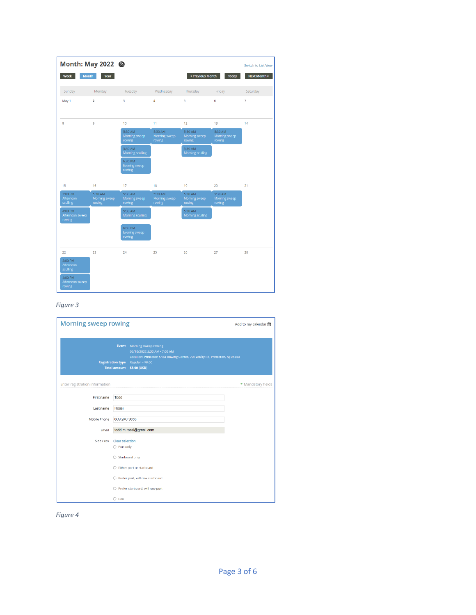|                                                   | Month: May 2022 <b>S</b>           |                                           |                                    |                                    |                                    | <b>Switch to List View</b> |
|---------------------------------------------------|------------------------------------|-------------------------------------------|------------------------------------|------------------------------------|------------------------------------|----------------------------|
| Week                                              | <b>Month</b><br>Year               |                                           |                                    | < Previous Month                   | <b>Today</b>                       | <b>Next Month &gt;</b>     |
| Sunday                                            | Monday                             | Tuesday                                   | Wednesday                          | Thursday                           | Friday                             | Saturday                   |
| May 1                                             | $\overline{2}$                     | 3                                         | $\overline{4}$                     | 5                                  | 6                                  | 7                          |
| 8                                                 | 9                                  | 10                                        | 11                                 | 12                                 | 13                                 | 14                         |
|                                                   |                                    | 5:30 AM<br>Morning sweep<br>rowing        | 5:30 AM<br>Morning sweep<br>rowing | 5:30 AM<br>Morning sweep<br>rowing | 5:30 AM<br>Morning sweep<br>rowing |                            |
|                                                   |                                    | 5:30 AM<br><b>Morning sculling</b>        |                                    | 5:30 AM<br><b>Morning sculling</b> |                                    |                            |
|                                                   |                                    | 6:30 PM<br>Evening sweep<br>rowing        |                                    |                                    |                                    |                            |
| 15                                                | 16                                 | 17                                        | 18                                 | 19                                 | 20                                 | 21                         |
| 2:00 PM<br>Afternoon<br>sculling                  | 5:30 AM<br>Morning sweep<br>rowing | 5:30 AM<br>Morning sweep<br>rowing        | 5:30 AM<br>Morning sweep<br>rowing | 5:30 AM<br>Morning sweep<br>rowing | 5:30 AM<br>Morning sweep<br>rowing |                            |
| 4:00 PM<br>Afternoon sweep<br>rowing              |                                    | 5:30 AM<br>Morning sculling               |                                    | 5:30 AM<br>Morning sculling        |                                    |                            |
|                                                   |                                    | 6:30 PM<br><b>Evening sweep</b><br>rowing |                                    |                                    |                                    |                            |
| 22<br>2:00 PM<br>Afternoon<br>sculling<br>4:00 PM | 23                                 | 24                                        | 25                                 | 26                                 | 27                                 | 28                         |
| Afternoon sweep<br><b>rowing</b>                  |                                    |                                           |                                    |                                    |                                    |                            |

| <b>Morning sweep rowing</b>    |                                                                      |                                                                                                                                                                                     | Add to my calendar 色 |
|--------------------------------|----------------------------------------------------------------------|-------------------------------------------------------------------------------------------------------------------------------------------------------------------------------------|----------------------|
|                                | Event<br><b>Registration type</b>                                    | Morning sweep rowing<br>05/10/2022 5:30 AM - 7:00 AM<br>Location: Princeton Shea Rowing Center, 70 Faculty Rd, Princeton, NJ 08540<br>Regular - \$8.00<br>Total amount \$8.00 (USD) |                      |
| Enter registration information |                                                                      |                                                                                                                                                                                     | * Mandatory fields   |
| <b>First name</b>              | <b>Todd</b>                                                          |                                                                                                                                                                                     |                      |
| <b>Last name</b>               | Rossi                                                                |                                                                                                                                                                                     |                      |
| <b>Mobile Phone</b>            | 609 240 3656                                                         |                                                                                                                                                                                     |                      |
| Email                          |                                                                      | todd.m.rossi@gmail.com                                                                                                                                                              |                      |
| Side / cox                     | Clear selection<br>$\bigcirc$ Port only<br>$\bigcirc$ Starboard only |                                                                                                                                                                                     |                      |
|                                |                                                                      | $\bigcirc$ Either port or starboard                                                                                                                                                 |                      |
|                                |                                                                      | $\bigcirc$ Prefer port, will row starboard                                                                                                                                          |                      |
|                                |                                                                      | $\bigcirc$ Prefer starboard, will row port                                                                                                                                          |                      |
|                                | $\bigcirc$ Cox                                                       |                                                                                                                                                                                     |                      |

*Figure 4*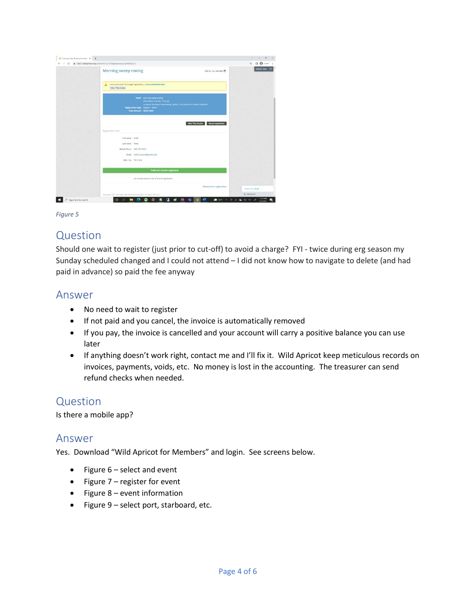| $\leftarrow$ $\rightarrow$ $C$ $\bullet$ clra31.wildapricot.org/event-4812314/RegistrationsList/40099272                                                                                                    | Q 0 8 Get 1           |
|-------------------------------------------------------------------------------------------------------------------------------------------------------------------------------------------------------------|-----------------------|
| Morning sweep rowing<br>Add to my calendar (*)                                                                                                                                                              | Admin view (4)        |
| Invoice not paid. To change registration, contact administrator.<br>View / Pay Invoice                                                                                                                      |                       |
| Event Morning sweep rowing<br>05/10/2022 5:30 AM - 7:00 AM<br>Location: Princeton Shew Rowing Center, 70 Faculty Rd. Princeton, NJ 08540<br>Registration type Regular - \$1.00<br>Total amount \$8.00 (USD) |                       |
| View / Pay Invoice<br>Cancel registration<br>Registration form<br>First name Todd                                                                                                                           |                       |
| Last name Rossi<br>Mobile Phone 609 240 3656<br>Email todd.m.rossi@gmail.com<br>Side / cax Port only                                                                                                        |                       |
| <b>Public list of event registrants</b>                                                                                                                                                                     |                       |
| triclude name in list of event registrants                                                                                                                                                                  |                       |
| Review all my registrations                                                                                                                                                                                 | Balance (Soc. \$8.00) |
|                                                                                                                                                                                                             |                       |

# Question

Should one wait to register (just prior to cut-off) to avoid a charge? FYI - twice during erg season my Sunday scheduled changed and I could not attend – I did not know how to navigate to delete (and had paid in advance) so paid the fee anyway

### Answer

- No need to wait to register
- If not paid and you cancel, the invoice is automatically removed
- If you pay, the invoice is cancelled and your account will carry a positive balance you can use later
- If anything doesn't work right, contact me and I'll fix it. Wild Apricot keep meticulous records on invoices, payments, voids, etc. No money is lost in the accounting. The treasurer can send refund checks when needed.

# Question

Is there a mobile app?

### Answer

Yes. Download "Wild Apricot for Members" and login. See screens below.

- Figure 6 select and event
- Figure 7 register for event
- Figure 8 event information
- Figure 9 select port, starboard, etc.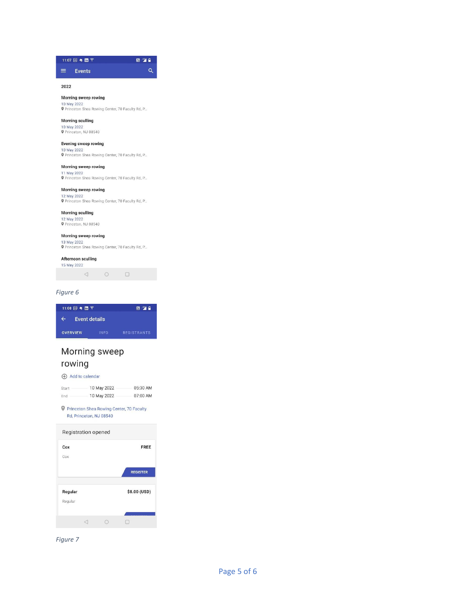

#### Morning sweep rowing 10 May 2022<br>© Princeton Shea Rowing Center, 70 Faculty Rd, P...

Morning sculling

10 May 2022<br>
P Princeton, NJ 08540

#### Evening sweep rowing

10 May 2022<br>
P Princeton Shea Rowing Center, 70 Faculty Rd, P...

#### Morning sweep rowing

11 May 2022<br>
P Princeton Shea Rowing Center, 70 Faculty Rd, P.

#### Morning sweep rowing

12 May 2022<br>
P Princeton Shea Rowing Center, 70 Faculty Rd, P...

#### Morning sculling

12 May 2022<br> **Q** Princeton, NJ 08540

#### Morning sweep rowing

13 May 2022<br>
P Princeton Shea Rowing Center, 70 Faculty Rd, P...

#### Afternoon sculling



#### Figure 6

| 11:08 31 号 面 平            |             | 圖™■                |
|---------------------------|-------------|--------------------|
| <b>Event details</b><br>← |             |                    |
| <b>OVERVIEW</b>           | <b>INFO</b> | <b>REGISTRANTS</b> |

# Morning sweep rowing

#### Add to calendar

| Start | 10 May 2022 | 05:30 AM |
|-------|-------------|----------|
| End   | 10 May 2022 | 07:00 AM |

P Princeton Shea Rowing Center, 70 Faculty Rd, Princeton, NJ 08540

# Registration opened